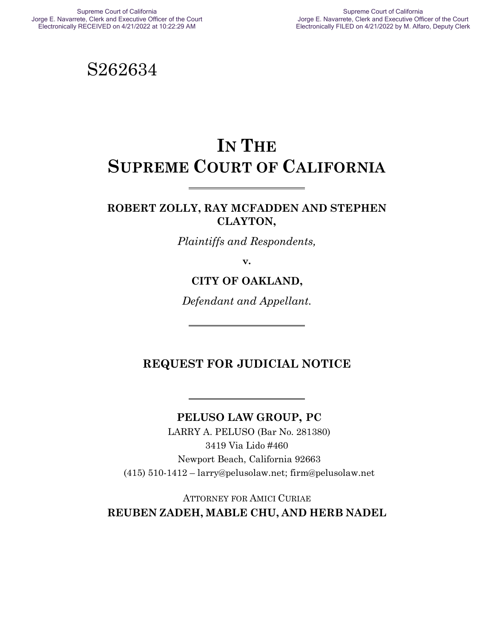S262634

# **IN THE SUPREME COURT OF CALIFORNIA**

#### **ROBERT ZOLLY, RAY MCFADDEN AND STEPHEN CLAYTON,**

*Plaintiffs and Respondents,*

**v.**

#### **CITY OF OAKLAND,**

*Defendant and Appellant.*

### **REQUEST FOR JUDICIAL NOTICE**

#### **PELUSO LAW GROUP, PC**

LARRY A. PELUSO (Bar No. 281380) 3419 Via Lido #460 Newport Beach, California 92663 (415) 510-1412 – larry@pelusolaw.net; firm@pelusolaw.net

ATTORNEY FOR AMICI CURIAE **REUBEN ZADEH, MABLE CHU, AND HERB NADEL**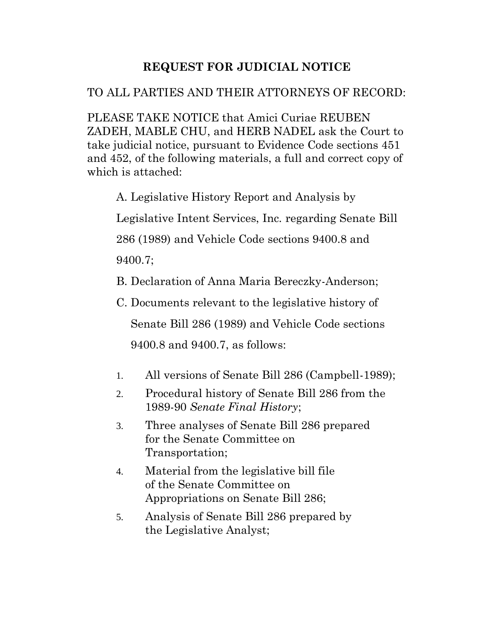# **REQUEST FOR JUDICIAL NOTICE**

# TO ALL PARTIES AND THEIR ATTORNEYS OF RECORD:

PLEASE TAKE NOTICE that Amici Curiae REUBEN ZADEH, MABLE CHU, and HERB NADEL ask the Court to take judicial notice, pursuant to Evidence Code sections 451 and 452, of the following materials, a full and correct copy of which is attached:

A. Legislative History Report and Analysis by

Legislative Intent Services, Inc. regarding Senate Bill

286 (1989) and Vehicle Code sections 9400.8 and

9400.7;

- B. Declaration of Anna Maria Bereczky-Anderson;
- C. Documents relevant to the legislative history of Senate Bill 286 (1989) and Vehicle Code sections 9400.8 and 9400.7, as follows:
- 1. All versions of Senate Bill 286 (Campbell-1989);
- 2. Procedural history of Senate Bill 286 from the 1989-90 *Senate Final History*;
- 3. Three analyses of Senate Bill 286 prepared for the Senate Committee on Transportation;
- 4. Material from the legislative bill file of the Senate Committee on Appropriations on Senate Bill 286;
- 5. Analysis of Senate Bill 286 prepared by the Legislative Analyst;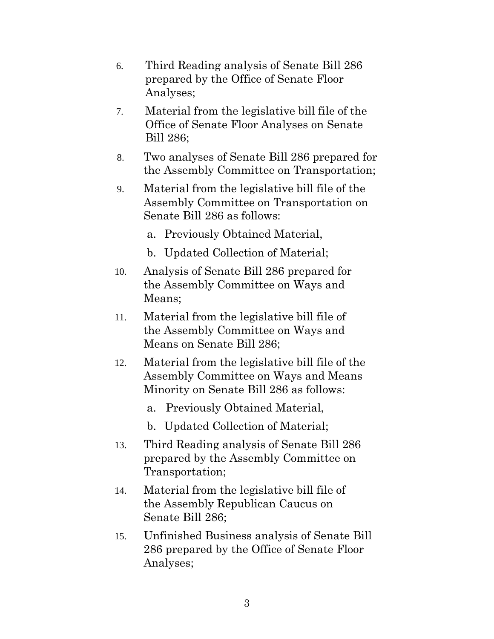- 6. Third Reading analysis of Senate Bill 286 prepared by the Office of Senate Floor Analyses;
- 7. Material from the legislative bill file of the Office of Senate Floor Analyses on Senate Bill 286;
- 8. Two analyses of Senate Bill 286 prepared for the Assembly Committee on Transportation;
- 9. Material from the legislative bill file of the Assembly Committee on Transportation on Senate Bill 286 as follows:
	- a. Previously Obtained Material,
	- b. Updated Collection of Material;
- 10. Analysis of Senate Bill 286 prepared for the Assembly Committee on Ways and Means;
- 11. Material from the legislative bill file of the Assembly Committee on Ways and Means on Senate Bill 286;
- 12. Material from the legislative bill file of the Assembly Committee on Ways and Means Minority on Senate Bill 286 as follows:
	- a. Previously Obtained Material,
	- b. Updated Collection of Material;
- 13. Third Reading analysis of Senate Bill 286 prepared by the Assembly Committee on Transportation;
- 14. Material from the legislative bill file of the Assembly Republican Caucus on Senate Bill 286;
- 15. Unfinished Business analysis of Senate Bill 286 prepared by the Office of Senate Floor Analyses;